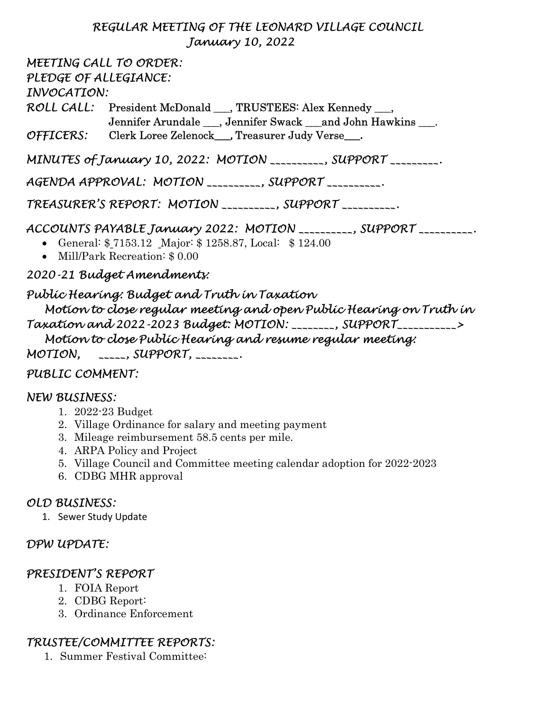#### REGULAR MEETING OF THE LEONARD VILLAGE COUNCIL January 10, 2022

MEETING CALL TO ORDER: PLEDGE OF ALLEGIANCE: INVOCATION: ROLL CALL: President McDonald \_\_\_, TRUSTEES: Alex Kennedy \_\_\_, Jennifer Arundale \_\_\_, Jennifer Swack \_\_\_and John Hawkins \_\_\_. OFFICERS: Clerk Loree Zelenock\_\_\_\_, Treasurer Judy Verse\_\_\_\_. MINUTES of January 10, 2022: MOTION \_\_\_\_\_\_\_\_\_\_, SUPPORT \_\_\_\_\_\_\_\_\_.

AGENDA APPROVAL: MOTION \_\_\_\_\_\_\_\_\_\_, SUPPORT \_\_\_\_\_\_\_\_\_\_.

TREASURER'S REPORT: MOTION \_\_\_\_\_\_\_\_\_\_, SUPPORT \_\_\_\_\_\_\_\_\_\_.

ACCOUNTS PAYABLE January 2022: MOTION \_\_\_\_\_\_\_\_\_\_, SUPPORT \_\_\_\_\_\_\_\_\_\_.

General: \$ 7153.12 Major: \$ 1258.87, Local: \$ 124.00

Mill/Park Recreation: \$ 0.00

2020-21 Budget Amendments:

Public Hearing: Budget and Truth in Taxation Motion to close regular meeting and open Public Hearing on Truth in Taxation and 2022-2023 Budget: MOTION: \_\_\_\_\_\_\_\_, SUPPORT\_\_\_\_\_\_\_\_\_\_\_> Motion to close Public Hearing and resume regular meeting:  $MOTION, \quad \text{SUPPORT}, \quad \text{SUPPORT}$ 

## PUBLIC COMMENT:

#### NEW BUSINESS:

- 1. 2022-23 Budget
- 2. Village Ordinance for salary and meeting payment
- 3. Mileage reimbursement 58.5 cents per mile.
- 4. ARPA Policy and Project
- 5. Village Council and Committee meeting calendar adoption for 2022-2023
- 6. CDBG MHR approval

## OLD BUSINESS:

1. Sewer Study Update

## DPW UPDATE:

## PRESIDENT'S REPORT

- 1. FOIA Report
- 2. CDBG Report:
- 3. Ordinance Enforcement

# TRUSTEE/COMMITTEE REPORTS:

1. Summer Festival Committee: